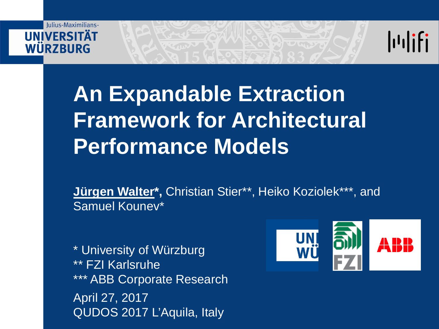#### Iulius-Maximilians-**IINIVERSITÄT** WÜRZBURG



#### **An Expandable Extraction Framework for Architectural Performance Models**

**Jürgen Walter\*,** Christian Stier\*\*, Heiko Koziolek\*\*\*, and Samuel Kounev\*

\* University of Würzburg \*\* FZI Karlsruhe \*\*\* ABB Corporate Research April 27, 2017 QUDOS 2017 L'Aquila, Italy

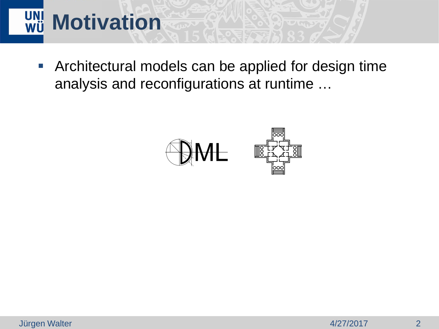# WÜ Motivation

 Architectural models can be applied for design time analysis and reconfigurations at runtime …

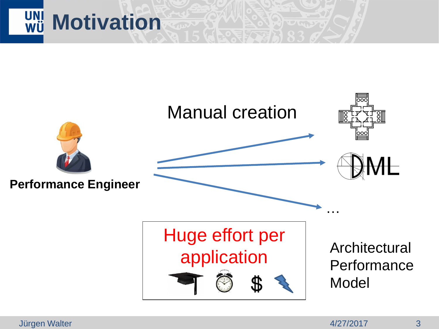

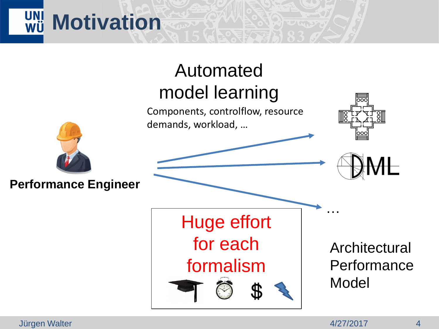#### **UNI**<br>WÜ **Motivation**

#### Automated model learning

Components, controlflow, resource demands, workload, …





#### **Performance Engineer**

Huge effort for each formalism

**Architectural Performance** Model

Jürgen Walter 4/27/2017 4

…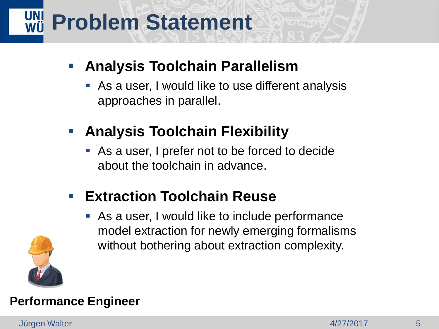## **WII Problem Statement**

#### **Analysis Toolchain Parallelism**

- As a user, I would like to use different analysis approaches in parallel.
- **Analysis Toolchain Flexibility** 
	- As a user, I prefer not to be forced to decide about the toolchain in advance.
- **Extraction Toolchain Reuse** 
	- As a user, I would like to include performance model extraction for newly emerging formalisms without bothering about extraction complexity.



#### **Performance Engineer**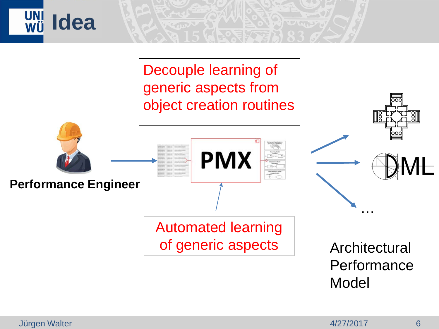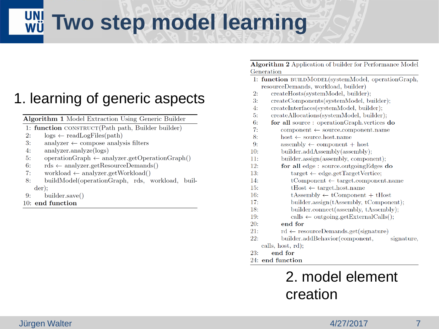#### **Two step model learning**

#### 1. learning of generic aspects

Algorithm 1 Model Extraction Using Generic Builder

- 1: function CONSTRUCT(Path path, Builder builder)
- $2:$  $\log s \leftarrow \text{readLogFiles}(\text{path})$
- $3:$ analyzer  $\leftarrow$  compose analysis filters
- $4:$  $analyzer. analyze(logs)$
- $operationGraph \leftarrow analyzer.getOperationGraph()$  $5:$
- $rds \leftarrow \text{analyzer.getResourceDemands}()$  $6:$
- workload  $\leftarrow$  analyzer.getWorkload()  $7:$
- $8:$ buildModel(operationGraph, rds, workload, buil $der)$ :
- builder.save()  $9:$
- 10: end function

Algorithm 2 Application of builder for Performance Model Generation

- 1: function BUILDMODEL(systemModel, operationGraph, resourceDemands, workload, builder)
- $2:$ createHosts(systemModel, builder);
- $3:$ createComponents(systemModel, builder);
- createInterfaces(systemModel, builder); 4:
- $5:$ createAllocations(systemModel, builder);
- $6:$ for all source: operationGraph.vertices do
- $7:$  $component \leftarrow source.compile}$ . name
- 8:  $host \leftarrow source.host.name$
- assembly  $\leftarrow$  component + host  $9:$
- builder.addAssembly(assembly);  $10:$
- $11:$ builder.assign(assembly, component);
- $12:$ for all edge: source.outgoingEdges do
	- $target \leftarrow edge.getTargetVertices;$
- $14:$  $t$ Component  $\leftarrow$  target.component.name
	- $tHost \leftarrow target.host.name$
- $t$ Assembly  $\leftarrow$  tComponent + tHost  $16:$
- $17:$ builder.assign(tAssembly, tComponent);
- builder.connect(assembly, tAssembly);  $18:$
- $19:$  $\text{ calls} \leftarrow \text{outgoing.getExternalCalls}$

#### end for

- $21:$  $rd \leftarrow resourceDemands.get(signature)$
- $22:$ builder.addBehavior(component, signature. calls, host, rd);
- $23:$ end for

 $13:$ 

 $15:$ 

 $20:$ 

24: end function

#### 2. model element creation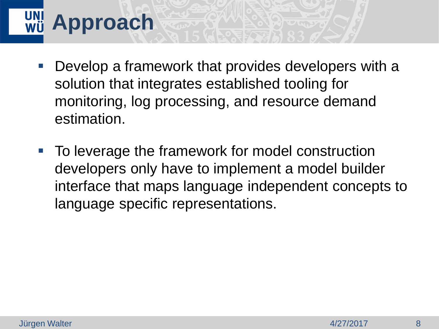## **Approach**

- **Develop a framework that provides developers with a** solution that integrates established tooling for monitoring, log processing, and resource demand estimation.
- **To leverage the framework for model construction** developers only have to implement a model builder interface that maps language independent concepts to language specific representations.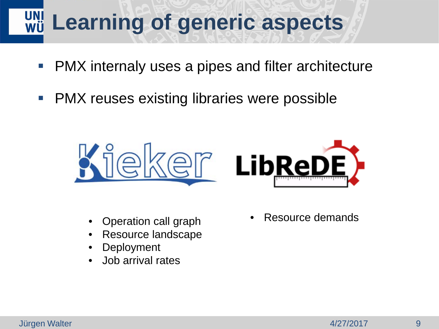#### **Learning of generic aspects**

- **PMX** internaly uses a pipes and filter architecture
- **PMX reuses existing libraries were possible**



- Operation call graph
- Resource landscape
- Deployment
- Job arrival rates

Resource demands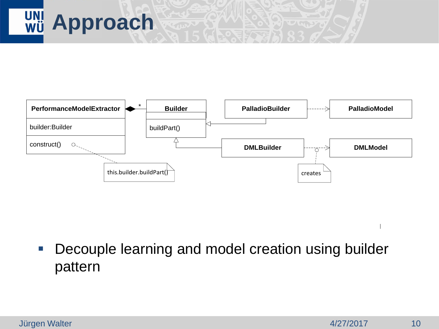



**Decouple learning and model creation using builder** pattern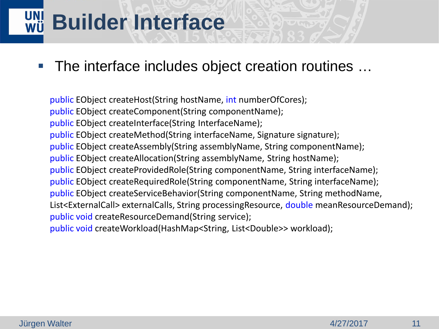## **Builder Interface**

#### ■ The interface includes object creation routines ...

public EObject createHost(String hostName, int numberOfCores); public EObject createComponent(String componentName); public EObject createInterface(String InterfaceName); public EObject createMethod(String interfaceName, Signature signature); public EObject createAssembly(String assemblyName, String componentName); public EObject createAllocation(String assemblyName, String hostName); public EObject createProvidedRole(String componentName, String interfaceName); public EObject createRequiredRole(String componentName, String interfaceName); public EObject createServiceBehavior(String componentName, String methodName, List<ExternalCall> externalCalls, String processingResource, double meanResourceDemand); public void createResourceDemand(String service); public void createWorkload(HashMap<String, List<Double>> workload);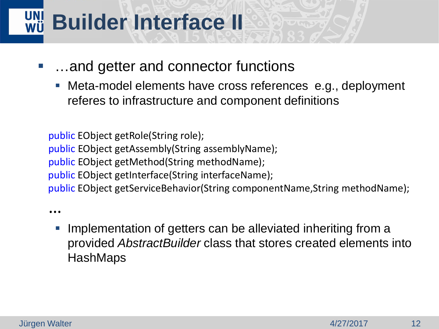## **Builder Interface II**

- …and getter and connector functions
	- Meta-model elements have cross references e.g., deployment referes to infrastructure and component definitions

public EObject getRole(String role); public EObject getAssembly(String assemblyName); public EObject getMethod(String methodName); public EObject getInterface(String interfaceName); public EObject getServiceBehavior(String componentName,String methodName);

…

**Implementation of getters can be alleviated inheriting from a** provided *AbstractBuilder* class that stores created elements into **HashMaps**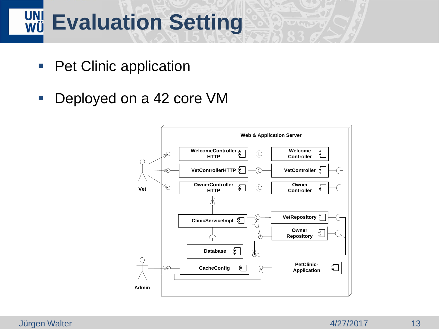## **Evaluation Setting**

- Pet Clinic application
- Deployed on a 42 core VM

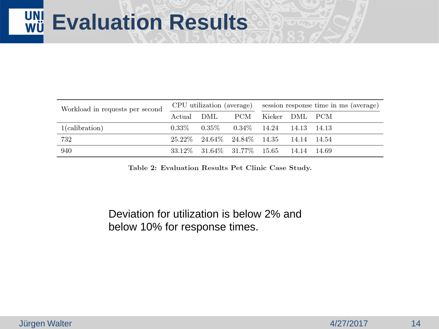| Workload in requests per second |  |                                                    |                               | CPU utilization (average) session response time in ms (average) |  |  |
|---------------------------------|--|----------------------------------------------------|-------------------------------|-----------------------------------------------------------------|--|--|
|                                 |  |                                                    | Actual DML PCM Kieker DML PCM |                                                                 |  |  |
| 1(calibration)                  |  | $0.33\%$ $0.35\%$ $0.34\%$ $14.24$ $14.13$ $14.13$ |                               |                                                                 |  |  |
| 732                             |  | 25.22\% 24.64\% 24.84\% 14.35 14.14 14.54          |                               |                                                                 |  |  |
| 940                             |  | 33.12\% 31.64\% 31.77\% 15.65 14.14 14.69          |                               |                                                                 |  |  |

Table 2: Evaluation Results Pet Clinic Case Study.

#### Deviation for utilization is below 2% and below 10% for response times.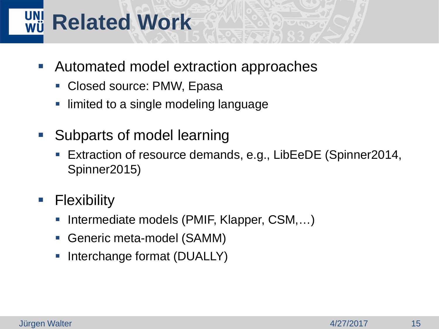## **Related Work**

- Automated model extraction approaches
	- Closed source: PMW, Epasa
	- limited to a single modeling language
- **Subparts of model learning** 
	- Extraction of resource demands, e.g., LibEeDE (Spinner2014, Spinner2015)
- **Flexibility** 
	- Intermediate models (PMIF, Klapper, CSM,...)
	- Generic meta-model (SAMM)
	- **Interchange format (DUALLY)**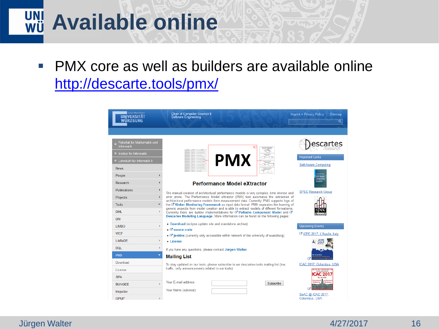## **Available online**

**PMX core as well as builders are available online** [http://descarte.tools/pmx/](http://se.informatik.uni-wuerzburg.de/tools/pmx/)

| Julius-Maximilians-<br><b>UNIVERSITÄT</b><br><b>WÜRZBURG</b>                                                       | <b>Chair of Computer Science II</b><br>Software Engineering                                                                                                                                                                                                                                                                                                                                                                                                                                                                                                                                                                                   | Imprint + Privacy Policy<br>Sitemap<br>$\alpha$                              |
|--------------------------------------------------------------------------------------------------------------------|-----------------------------------------------------------------------------------------------------------------------------------------------------------------------------------------------------------------------------------------------------------------------------------------------------------------------------------------------------------------------------------------------------------------------------------------------------------------------------------------------------------------------------------------------------------------------------------------------------------------------------------------------|------------------------------------------------------------------------------|
| Fakultät für Mathematik und<br>Informatik<br>« Institut für Informatik                                             |                                                                                                                                                                                                                                                                                                                                                                                                                                                                                                                                                                                                                                               | escari<br><b>Important Links</b>                                             |
| « Lehrstuhl für Informatik II<br><b>News</b><br>People<br>Research                                                 | <b>PMX</b><br><b>Performance Model eXtractor</b>                                                                                                                                                                                                                                                                                                                                                                                                                                                                                                                                                                                              | Self-Aware Computing<br>Computin<br>Systems                                  |
| Publications<br>Projects<br>$\blacktriangleright$<br>▼<br><b>Tools</b><br><b>DML</b><br>$\mathbf{b}$<br><b>DNI</b> | The manual creation of architectural performance models is very complex, time intense and<br>error prone. The Performance Model eXtractor (PMX) tool automates the extraction of<br>architectural performance models form measurement data. Currently, PMX supports logs of<br>the C Kieker Monitoring Framework as input data format. PMX separates the learning of<br>generic aspects from model creation and is able to extract models of different formalisms.<br>Currently there are builder implementations for C Palladio Component Model and C'<br>Descartes Modeling Language. More information can be found on the following pages: | <b>SPEC Research Group</b>                                                   |
| b.<br><b>LIMBO</b><br><b>WCF</b><br>LibReDE<br>Þ                                                                   | Download (eclipse update site and standalone archive)<br>$\blacksquare$ Source code<br><b>E' jenkins</b> (currently only accessible within network of the university of wuerzburg)<br><b>License</b>                                                                                                                                                                                                                                                                                                                                                                                                                                          | <b>Upcoming Events</b><br>C ICPE 2017, L'Aquila, Italy<br>$\frac{1}{2}$ 2017 |
| <b>DQL</b><br>$\,$ $\,$<br><b>PMX</b><br>٠<br>Download<br>License                                                  | If you have any questions, please contact Jürgen Walter.<br><b>Mailing List</b><br>To stay updated on our tools, please subscribe to our descartes-tools mailing list (low<br>traffic, only announcements related to our tools)                                                                                                                                                                                                                                                                                                                                                                                                               | ICAC 2017, Columbus, USA                                                     |
| <b>SPA</b><br><b>BUNGEE</b><br>hinjector<br>OPME                                                                   | Your E-mail address:<br>Subscribe<br>Your Name (optional):                                                                                                                                                                                                                                                                                                                                                                                                                                                                                                                                                                                    | SeAC @ ICAC 2017.<br>Columbus, USA                                           |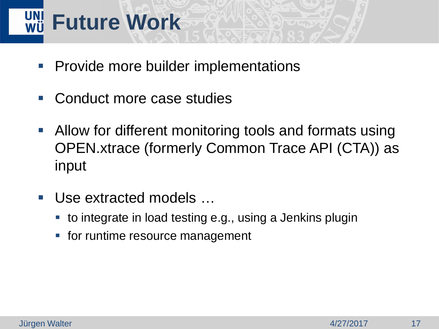# **Future Work**

- **Provide more builder implementations**
- Conduct more case studies
- **Allow for different monitoring tools and formats using** OPEN.xtrace (formerly Common Trace API (CTA)) as input
- Use extracted models ...
	- to integrate in load testing e.g., using a Jenkins plugin
	- **for runtime resource management**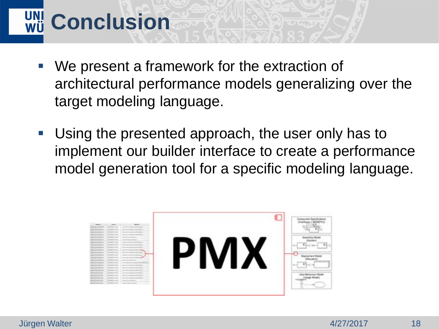# **UNI Conclusion**

- We present a framework for the extraction of architectural performance models generalizing over the target modeling language.
- Using the presented approach, the user only has to implement our builder interface to create a performance model generation tool for a specific modeling language.